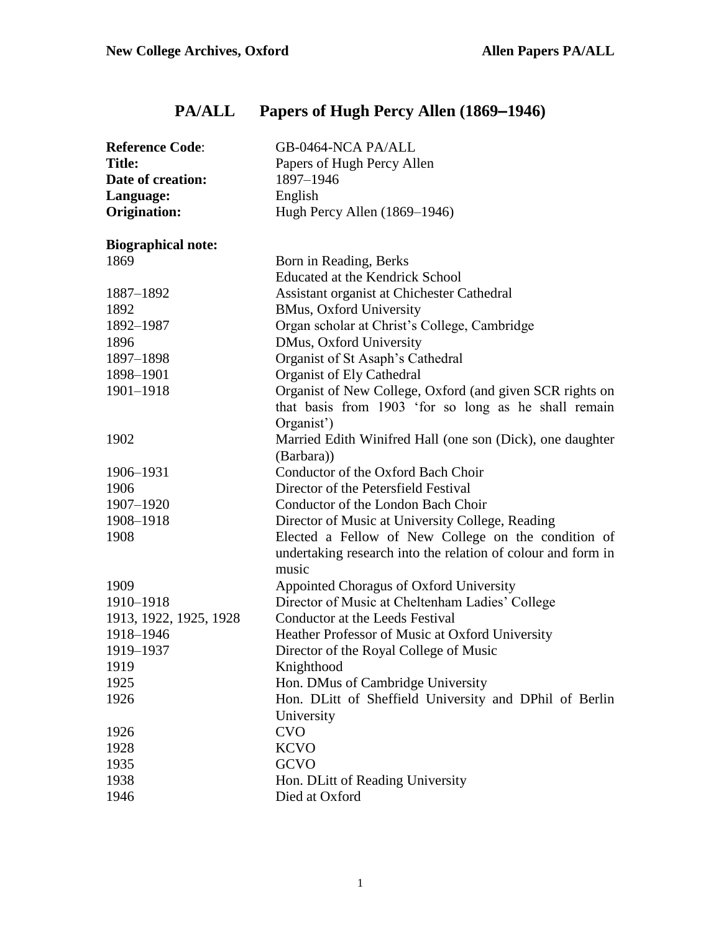# **PA/ALL Papers of Hugh Percy Allen (1869–1946)**

| <b>Reference Code:</b>    | GB-0464-NCA PA/ALL                                                                                                           |
|---------------------------|------------------------------------------------------------------------------------------------------------------------------|
| <b>Title:</b>             | Papers of Hugh Percy Allen                                                                                                   |
| Date of creation:         | 1897-1946                                                                                                                    |
| Language:                 | English                                                                                                                      |
| <b>Origination:</b>       | Hugh Percy Allen (1869–1946)                                                                                                 |
| <b>Biographical note:</b> |                                                                                                                              |
| 1869                      | Born in Reading, Berks                                                                                                       |
|                           | <b>Educated at the Kendrick School</b>                                                                                       |
| 1887-1892                 | Assistant organist at Chichester Cathedral                                                                                   |
| 1892                      | <b>BMus, Oxford University</b>                                                                                               |
| 1892-1987                 | Organ scholar at Christ's College, Cambridge                                                                                 |
| 1896                      | DMus, Oxford University                                                                                                      |
| 1897-1898                 | Organist of St Asaph's Cathedral                                                                                             |
| 1898-1901                 | Organist of Ely Cathedral                                                                                                    |
| 1901-1918                 | Organist of New College, Oxford (and given SCR rights on<br>that basis from 1903 'for so long as he shall remain             |
|                           | Organist')                                                                                                                   |
| 1902                      | Married Edith Winifred Hall (one son (Dick), one daughter                                                                    |
|                           | (Barbara))                                                                                                                   |
| 1906-1931                 | Conductor of the Oxford Bach Choir                                                                                           |
| 1906                      | Director of the Petersfield Festival                                                                                         |
| 1907-1920                 | Conductor of the London Bach Choir                                                                                           |
| 1908-1918                 | Director of Music at University College, Reading                                                                             |
| 1908                      | Elected a Fellow of New College on the condition of<br>undertaking research into the relation of colour and form in<br>music |
| 1909                      | Appointed Choragus of Oxford University                                                                                      |
| 1910-1918                 | Director of Music at Cheltenham Ladies' College                                                                              |
| 1913, 1922, 1925, 1928    | Conductor at the Leeds Festival                                                                                              |
| 1918-1946                 | Heather Professor of Music at Oxford University                                                                              |
| 1919-1937                 | Director of the Royal College of Music                                                                                       |
| 1919                      | Knighthood                                                                                                                   |
| 1925                      | Hon. DMus of Cambridge University                                                                                            |
| 1926                      | Hon. DLitt of Sheffield University and DPhil of Berlin                                                                       |
|                           | University                                                                                                                   |
| 1926                      | <b>CVO</b>                                                                                                                   |
| 1928                      | <b>KCVO</b>                                                                                                                  |
| 1935                      | <b>GCVO</b>                                                                                                                  |
| 1938                      | Hon. DLitt of Reading University                                                                                             |
| 1946                      | Died at Oxford                                                                                                               |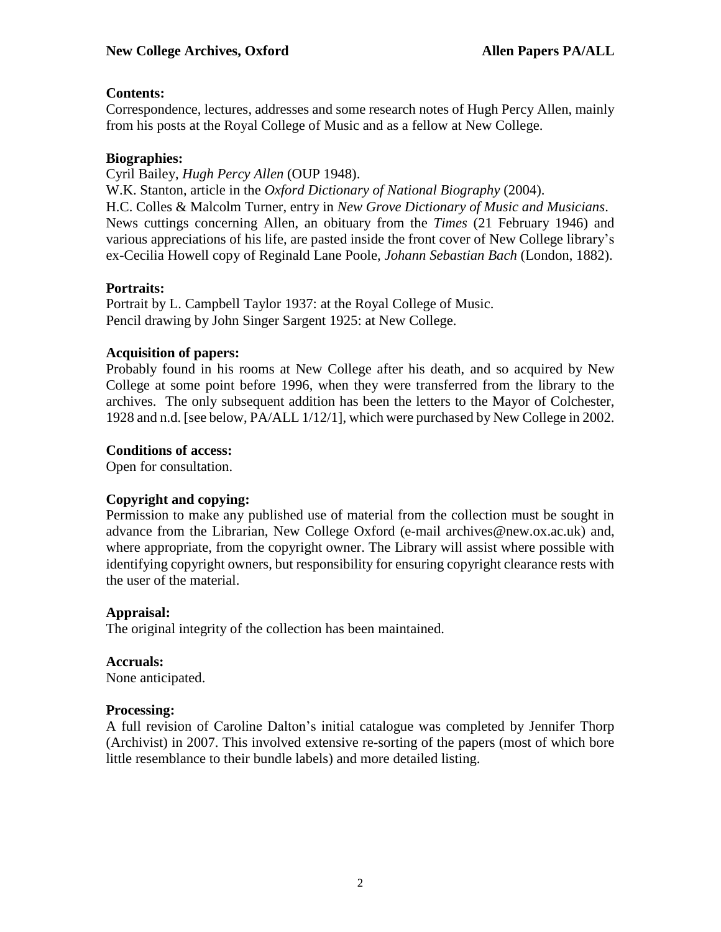#### **Contents:**

Correspondence, lectures, addresses and some research notes of Hugh Percy Allen, mainly from his posts at the Royal College of Music and as a fellow at New College.

#### **Biographies:**

Cyril Bailey, *Hugh Percy Allen* (OUP 1948). W.K. Stanton, article in the *Oxford Dictionary of National Biography* (2004). H.C. Colles & Malcolm Turner, entry in *New Grove Dictionary of Music and Musicians*. News cuttings concerning Allen, an obituary from the *Times* (21 February 1946) and various appreciations of his life, are pasted inside the front cover of New College library's ex-Cecilia Howell copy of Reginald Lane Poole, *Johann Sebastian Bach* (London, 1882).

#### **Portraits:**

Portrait by L. Campbell Taylor 1937: at the Royal College of Music. Pencil drawing by John Singer Sargent 1925: at New College.

#### **Acquisition of papers:**

Probably found in his rooms at New College after his death, and so acquired by New College at some point before 1996, when they were transferred from the library to the archives. The only subsequent addition has been the letters to the Mayor of Colchester, 1928 and n.d. [see below, PA/ALL 1/12/1], which were purchased by New College in 2002.

#### **Conditions of access:**

Open for consultation.

## **Copyright and copying:**

Permission to make any published use of material from the collection must be sought in advance from the Librarian, New College Oxford (e-mail archives@new.ox.ac.uk) and, where appropriate, from the copyright owner. The Library will assist where possible with identifying copyright owners, but responsibility for ensuring copyright clearance rests with the user of the material.

#### **Appraisal:**

The original integrity of the collection has been maintained.

#### **Accruals:**

None anticipated.

#### **Processing:**

A full revision of Caroline Dalton's initial catalogue was completed by Jennifer Thorp (Archivist) in 2007. This involved extensive re-sorting of the papers (most of which bore little resemblance to their bundle labels) and more detailed listing.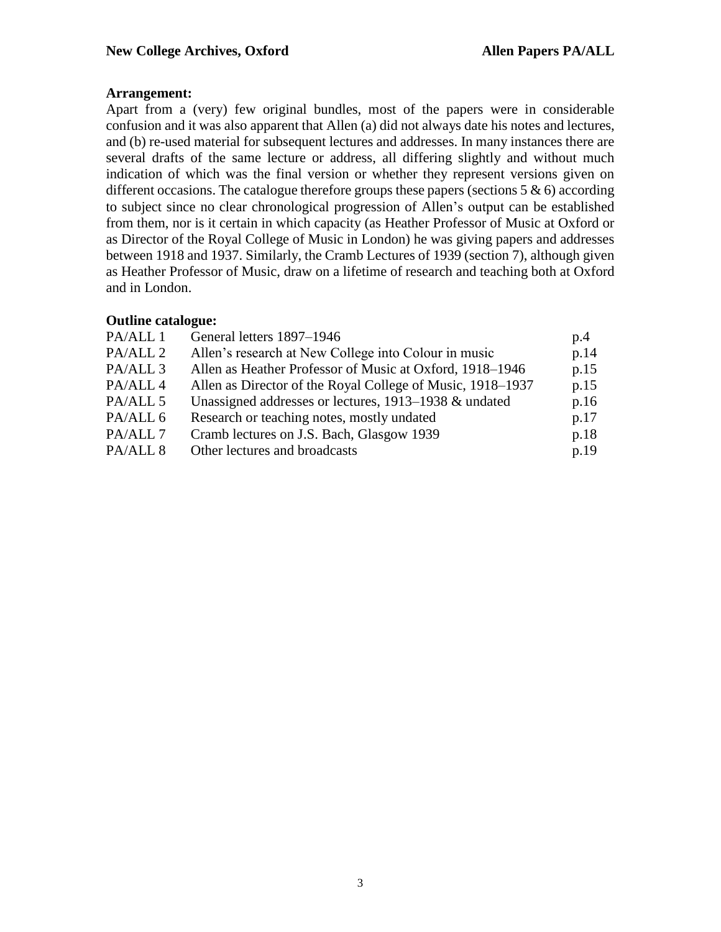#### **Arrangement:**

Apart from a (very) few original bundles, most of the papers were in considerable confusion and it was also apparent that Allen (a) did not always date his notes and lectures, and (b) re-used material for subsequent lectures and addresses. In many instances there are several drafts of the same lecture or address, all differing slightly and without much indication of which was the final version or whether they represent versions given on different occasions. The catalogue therefore groups these papers (sections  $5 \& 6$ ) according to subject since no clear chronological progression of Allen's output can be established from them, nor is it certain in which capacity (as Heather Professor of Music at Oxford or as Director of the Royal College of Music in London) he was giving papers and addresses between 1918 and 1937. Similarly, the Cramb Lectures of 1939 (section 7), although given as Heather Professor of Music, draw on a lifetime of research and teaching both at Oxford and in London.

#### **Outline catalogue:**

| General letters 1897-1946                                  | p.4  |
|------------------------------------------------------------|------|
| Allen's research at New College into Colour in music       | p.14 |
| Allen as Heather Professor of Music at Oxford, 1918–1946   | p.15 |
| Allen as Director of the Royal College of Music, 1918–1937 | p.15 |
| Unassigned addresses or lectures, 1913–1938 & undated      | p.16 |
| Research or teaching notes, mostly undated                 | p.17 |
| Cramb lectures on J.S. Bach, Glasgow 1939                  | p.18 |
| Other lectures and broadcasts                              | p.19 |
|                                                            |      |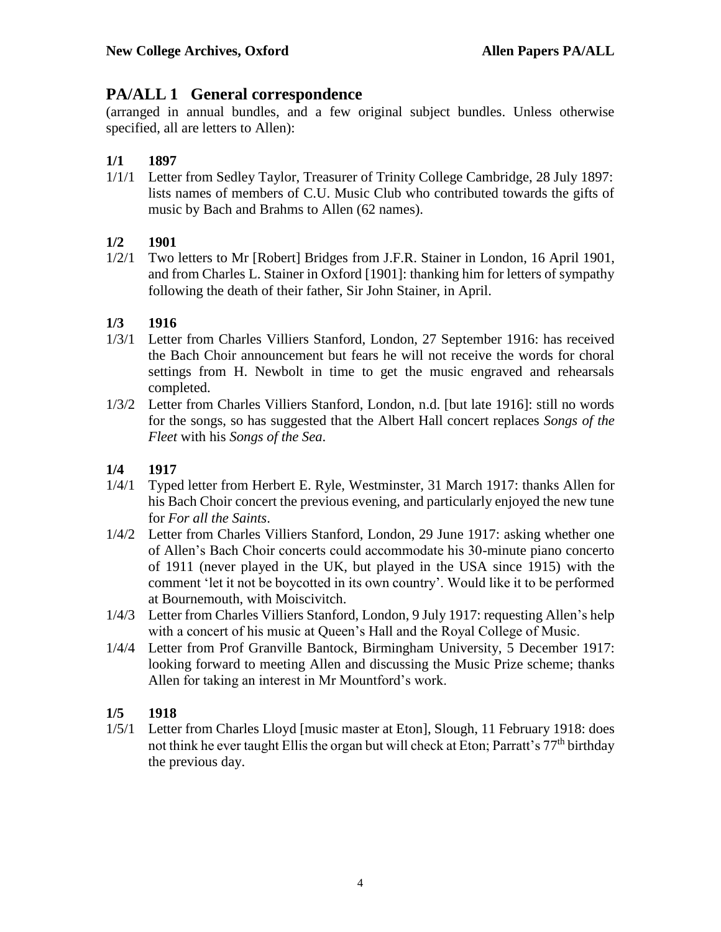## **PA/ALL 1 General correspondence**

(arranged in annual bundles, and a few original subject bundles. Unless otherwise specified, all are letters to Allen):

### **1/1 1897**

1/1/1 Letter from Sedley Taylor, Treasurer of Trinity College Cambridge, 28 July 1897: lists names of members of C.U. Music Club who contributed towards the gifts of music by Bach and Brahms to Allen (62 names).

#### **1/2 1901**

1/2/1 Two letters to Mr [Robert] Bridges from J.F.R. Stainer in London, 16 April 1901, and from Charles L. Stainer in Oxford [1901]: thanking him for letters of sympathy following the death of their father, Sir John Stainer, in April.

#### **1/3 1916**

- 1/3/1 Letter from Charles Villiers Stanford, London, 27 September 1916: has received the Bach Choir announcement but fears he will not receive the words for choral settings from H. Newbolt in time to get the music engraved and rehearsals completed.
- 1/3/2 Letter from Charles Villiers Stanford, London, n.d. [but late 1916]: still no words for the songs, so has suggested that the Albert Hall concert replaces *Songs of the Fleet* with his *Songs of the Sea*.

#### **1/4 1917**

- 1/4/1 Typed letter from Herbert E. Ryle, Westminster, 31 March 1917: thanks Allen for his Bach Choir concert the previous evening, and particularly enjoyed the new tune for *For all the Saints*.
- 1/4/2 Letter from Charles Villiers Stanford, London, 29 June 1917: asking whether one of Allen's Bach Choir concerts could accommodate his 30-minute piano concerto of 1911 (never played in the UK, but played in the USA since 1915) with the comment 'let it not be boycotted in its own country'. Would like it to be performed at Bournemouth, with Moiscivitch.
- 1/4/3 Letter from Charles Villiers Stanford, London, 9 July 1917: requesting Allen's help with a concert of his music at Queen's Hall and the Royal College of Music.
- 1/4/4 Letter from Prof Granville Bantock, Birmingham University, 5 December 1917: looking forward to meeting Allen and discussing the Music Prize scheme; thanks Allen for taking an interest in Mr Mountford's work.

#### **1/5 1918**

1/5/1 Letter from Charles Lloyd [music master at Eton], Slough, 11 February 1918: does not think he ever taught Ellis the organ but will check at Eton; Parratt's 77<sup>th</sup> birthday the previous day.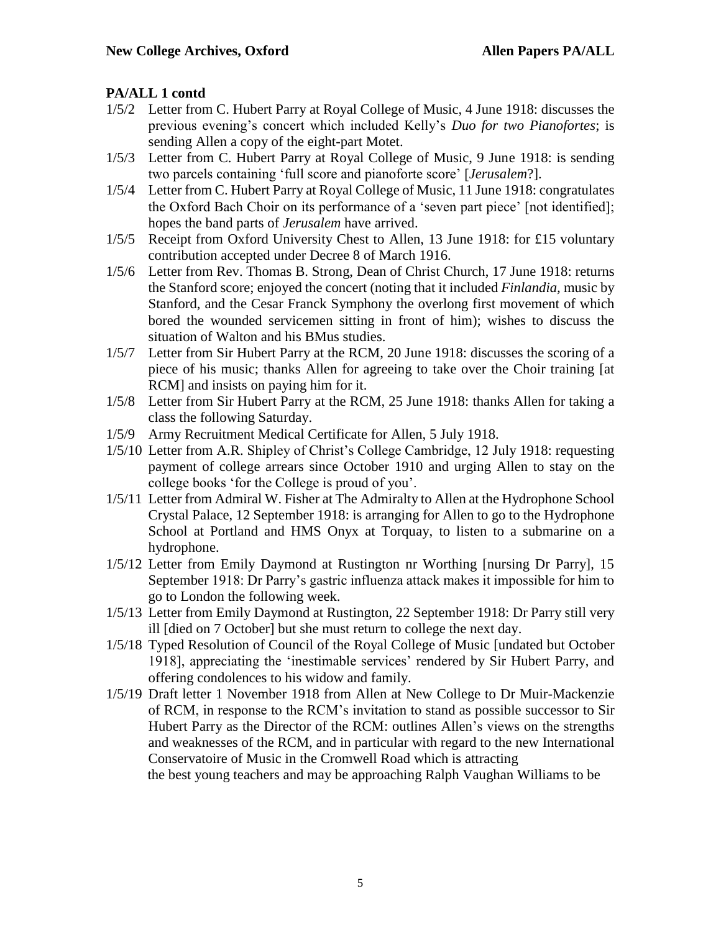- 1/5/2 Letter from C. Hubert Parry at Royal College of Music, 4 June 1918: discusses the previous evening's concert which included Kelly's *Duo for two Pianofortes*; is sending Allen a copy of the eight-part Motet.
- 1/5/3 Letter from C. Hubert Parry at Royal College of Music, 9 June 1918: is sending two parcels containing 'full score and pianoforte score' [*Jerusalem*?].
- 1/5/4 Letter from C. Hubert Parry at Royal College of Music, 11 June 1918: congratulates the Oxford Bach Choir on its performance of a 'seven part piece' [not identified]; hopes the band parts of *Jerusalem* have arrived.
- 1/5/5 Receipt from Oxford University Chest to Allen, 13 June 1918: for £15 voluntary contribution accepted under Decree 8 of March 1916.
- 1/5/6 Letter from Rev. Thomas B. Strong, Dean of Christ Church, 17 June 1918: returns the Stanford score; enjoyed the concert (noting that it included *Finlandia,* music by Stanford, and the Cesar Franck Symphony the overlong first movement of which bored the wounded servicemen sitting in front of him); wishes to discuss the situation of Walton and his BMus studies.
- 1/5/7 Letter from Sir Hubert Parry at the RCM, 20 June 1918: discusses the scoring of a piece of his music; thanks Allen for agreeing to take over the Choir training [at RCM] and insists on paying him for it.
- 1/5/8 Letter from Sir Hubert Parry at the RCM, 25 June 1918: thanks Allen for taking a class the following Saturday.
- 1/5/9 Army Recruitment Medical Certificate for Allen, 5 July 1918.
- 1/5/10 Letter from A.R. Shipley of Christ's College Cambridge, 12 July 1918: requesting payment of college arrears since October 1910 and urging Allen to stay on the college books 'for the College is proud of you'.
- 1/5/11 Letter from Admiral W. Fisher at The Admiralty to Allen at the Hydrophone School Crystal Palace, 12 September 1918: is arranging for Allen to go to the Hydrophone School at Portland and HMS Onyx at Torquay, to listen to a submarine on a hydrophone.
- 1/5/12 Letter from Emily Daymond at Rustington nr Worthing [nursing Dr Parry], 15 September 1918: Dr Parry's gastric influenza attack makes it impossible for him to go to London the following week.
- 1/5/13 Letter from Emily Daymond at Rustington, 22 September 1918: Dr Parry still very ill [died on 7 October] but she must return to college the next day.
- 1/5/18 Typed Resolution of Council of the Royal College of Music [undated but October 1918], appreciating the 'inestimable services' rendered by Sir Hubert Parry, and offering condolences to his widow and family.
- 1/5/19 Draft letter 1 November 1918 from Allen at New College to Dr Muir-Mackenzie of RCM, in response to the RCM's invitation to stand as possible successor to Sir Hubert Parry as the Director of the RCM: outlines Allen's views on the strengths and weaknesses of the RCM, and in particular with regard to the new International Conservatoire of Music in the Cromwell Road which is attracting

the best young teachers and may be approaching Ralph Vaughan Williams to be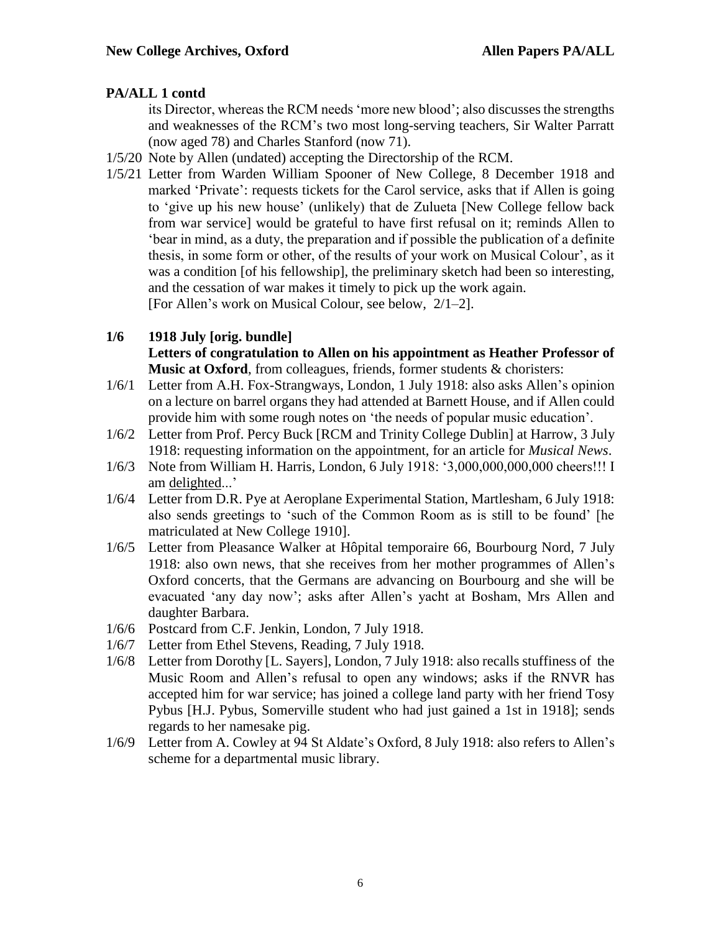its Director, whereas the RCM needs 'more new blood'; also discusses the strengths and weaknesses of the RCM's two most long-serving teachers, Sir Walter Parratt (now aged 78) and Charles Stanford (now 71).

- 1/5/20 Note by Allen (undated) accepting the Directorship of the RCM.
- 1/5/21 Letter from Warden William Spooner of New College, 8 December 1918 and marked 'Private': requests tickets for the Carol service, asks that if Allen is going to 'give up his new house' (unlikely) that de Zulueta [New College fellow back from war service] would be grateful to have first refusal on it; reminds Allen to 'bear in mind, as a duty, the preparation and if possible the publication of a definite thesis, in some form or other, of the results of your work on Musical Colour', as it was a condition [of his fellowship], the preliminary sketch had been so interesting, and the cessation of war makes it timely to pick up the work again. [For Allen's work on Musical Colour, see below, 2/1–2].

#### **1/6 1918 July [orig. bundle] Letters of congratulation to Allen on his appointment as Heather Professor of Music at Oxford**, from colleagues, friends, former students & choristers:

- 1/6/1 Letter from A.H. Fox-Strangways, London, 1 July 1918: also asks Allen's opinion on a lecture on barrel organs they had attended at Barnett House, and if Allen could provide him with some rough notes on 'the needs of popular music education'.
- 1/6/2 Letter from Prof. Percy Buck [RCM and Trinity College Dublin] at Harrow, 3 July 1918: requesting information on the appointment, for an article for *Musical News*.
- 1/6/3 Note from William H. Harris, London, 6 July 1918: '3,000,000,000,000 cheers!!! I am delighted...'
- 1/6/4 Letter from D.R. Pye at Aeroplane Experimental Station, Martlesham, 6 July 1918: also sends greetings to 'such of the Common Room as is still to be found' [he matriculated at New College 1910].
- 1/6/5 Letter from Pleasance Walker at Hôpital temporaire 66, Bourbourg Nord, 7 July 1918: also own news, that she receives from her mother programmes of Allen's Oxford concerts, that the Germans are advancing on Bourbourg and she will be evacuated 'any day now'; asks after Allen's yacht at Bosham, Mrs Allen and daughter Barbara.
- 1/6/6 Postcard from C.F. Jenkin, London, 7 July 1918.
- 1/6/7 Letter from Ethel Stevens, Reading, 7 July 1918.
- 1/6/8 Letter from Dorothy [L. Sayers], London, 7 July 1918: also recalls stuffiness of the Music Room and Allen's refusal to open any windows; asks if the RNVR has accepted him for war service; has joined a college land party with her friend Tosy Pybus [H.J. Pybus, Somerville student who had just gained a 1st in 1918]; sends regards to her namesake pig.
- 1/6/9 Letter from A. Cowley at 94 St Aldate's Oxford, 8 July 1918: also refers to Allen's scheme for a departmental music library.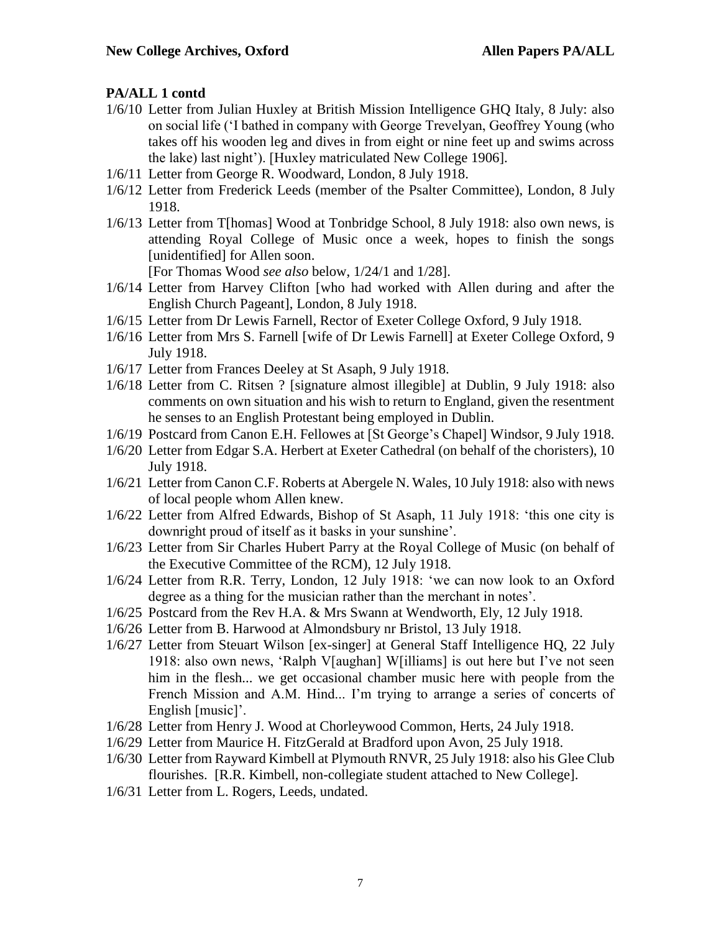- 1/6/10 Letter from Julian Huxley at British Mission Intelligence GHQ Italy, 8 July: also on social life ('I bathed in company with George Trevelyan, Geoffrey Young (who takes off his wooden leg and dives in from eight or nine feet up and swims across the lake) last night'). [Huxley matriculated New College 1906].
- 1/6/11 Letter from George R. Woodward, London, 8 July 1918.
- 1/6/12 Letter from Frederick Leeds (member of the Psalter Committee), London, 8 July 1918.
- 1/6/13 Letter from T[homas] Wood at Tonbridge School, 8 July 1918: also own news, is attending Royal College of Music once a week, hopes to finish the songs [unidentified] for Allen soon.

[For Thomas Wood *see also* below, 1/24/1 and 1/28].

- 1/6/14 Letter from Harvey Clifton [who had worked with Allen during and after the English Church Pageant], London, 8 July 1918.
- 1/6/15 Letter from Dr Lewis Farnell, Rector of Exeter College Oxford, 9 July 1918.
- 1/6/16 Letter from Mrs S. Farnell [wife of Dr Lewis Farnell] at Exeter College Oxford, 9 July 1918.
- 1/6/17 Letter from Frances Deeley at St Asaph, 9 July 1918.
- 1/6/18 Letter from C. Ritsen ? [signature almost illegible] at Dublin, 9 July 1918: also comments on own situation and his wish to return to England, given the resentment he senses to an English Protestant being employed in Dublin.
- 1/6/19 Postcard from Canon E.H. Fellowes at [St George's Chapel] Windsor, 9 July 1918.
- 1/6/20 Letter from Edgar S.A. Herbert at Exeter Cathedral (on behalf of the choristers), 10 July 1918.
- 1/6/21 Letter from Canon C.F. Roberts at Abergele N. Wales, 10 July 1918: also with news of local people whom Allen knew.
- 1/6/22 Letter from Alfred Edwards, Bishop of St Asaph, 11 July 1918: 'this one city is downright proud of itself as it basks in your sunshine'.
- 1/6/23 Letter from Sir Charles Hubert Parry at the Royal College of Music (on behalf of the Executive Committee of the RCM), 12 July 1918.
- 1/6/24 Letter from R.R. Terry, London, 12 July 1918: 'we can now look to an Oxford degree as a thing for the musician rather than the merchant in notes'.
- 1/6/25 Postcard from the Rev H.A. & Mrs Swann at Wendworth, Ely, 12 July 1918.
- 1/6/26 Letter from B. Harwood at Almondsbury nr Bristol, 13 July 1918.
- 1/6/27 Letter from Steuart Wilson [ex-singer] at General Staff Intelligence HQ, 22 July 1918: also own news, 'Ralph V[aughan] W[illiams] is out here but I've not seen him in the flesh... we get occasional chamber music here with people from the French Mission and A.M. Hind... I'm trying to arrange a series of concerts of English [music]'.
- 1/6/28 Letter from Henry J. Wood at Chorleywood Common, Herts, 24 July 1918.
- 1/6/29 Letter from Maurice H. FitzGerald at Bradford upon Avon, 25 July 1918.
- 1/6/30 Letter from Rayward Kimbell at Plymouth RNVR, 25 July 1918: also his Glee Club flourishes. [R.R. Kimbell, non-collegiate student attached to New College].
- 1/6/31 Letter from L. Rogers, Leeds, undated.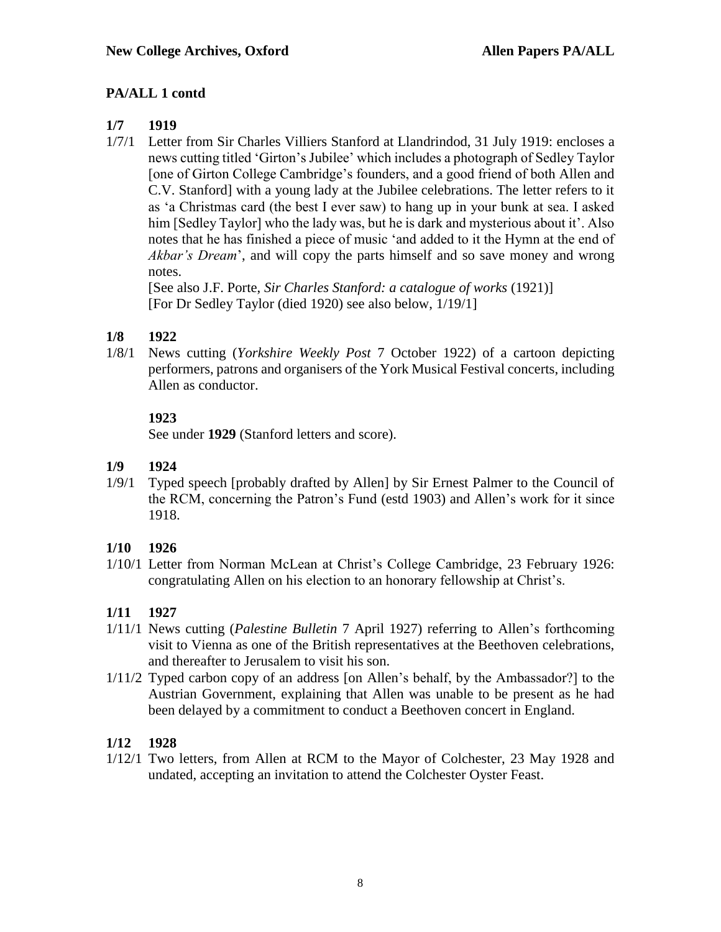## **1/7 1919**

1/7/1 Letter from Sir Charles Villiers Stanford at Llandrindod, 31 July 1919: encloses a news cutting titled 'Girton's Jubilee' which includes a photograph of Sedley Taylor [one of Girton College Cambridge's founders, and a good friend of both Allen and C.V. Stanford] with a young lady at the Jubilee celebrations. The letter refers to it as 'a Christmas card (the best I ever saw) to hang up in your bunk at sea. I asked him [Sedley Taylor] who the lady was, but he is dark and mysterious about it'. Also notes that he has finished a piece of music 'and added to it the Hymn at the end of *Akbar's Dream*', and will copy the parts himself and so save money and wrong notes.

[See also J.F. Porte, *Sir Charles Stanford: a catalogue of works* (1921)] [For Dr Sedley Taylor (died 1920) see also below, 1/19/1]

## **1/8 1922**

1/8/1 News cutting (*Yorkshire Weekly Post* 7 October 1922) of a cartoon depicting performers, patrons and organisers of the York Musical Festival concerts, including Allen as conductor.

## **1923**

See under **1929** (Stanford letters and score).

## **1/9 1924**

1/9/1 Typed speech [probably drafted by Allen] by Sir Ernest Palmer to the Council of the RCM, concerning the Patron's Fund (estd 1903) and Allen's work for it since 1918.

## **1/10 1926**

1/10/1 Letter from Norman McLean at Christ's College Cambridge, 23 February 1926: congratulating Allen on his election to an honorary fellowship at Christ's.

## **1/11 1927**

- 1/11/1 News cutting (*Palestine Bulletin* 7 April 1927) referring to Allen's forthcoming visit to Vienna as one of the British representatives at the Beethoven celebrations, and thereafter to Jerusalem to visit his son.
- 1/11/2 Typed carbon copy of an address [on Allen's behalf, by the Ambassador?] to the Austrian Government, explaining that Allen was unable to be present as he had been delayed by a commitment to conduct a Beethoven concert in England.

## **1/12 1928**

1/12/1 Two letters, from Allen at RCM to the Mayor of Colchester, 23 May 1928 and undated, accepting an invitation to attend the Colchester Oyster Feast.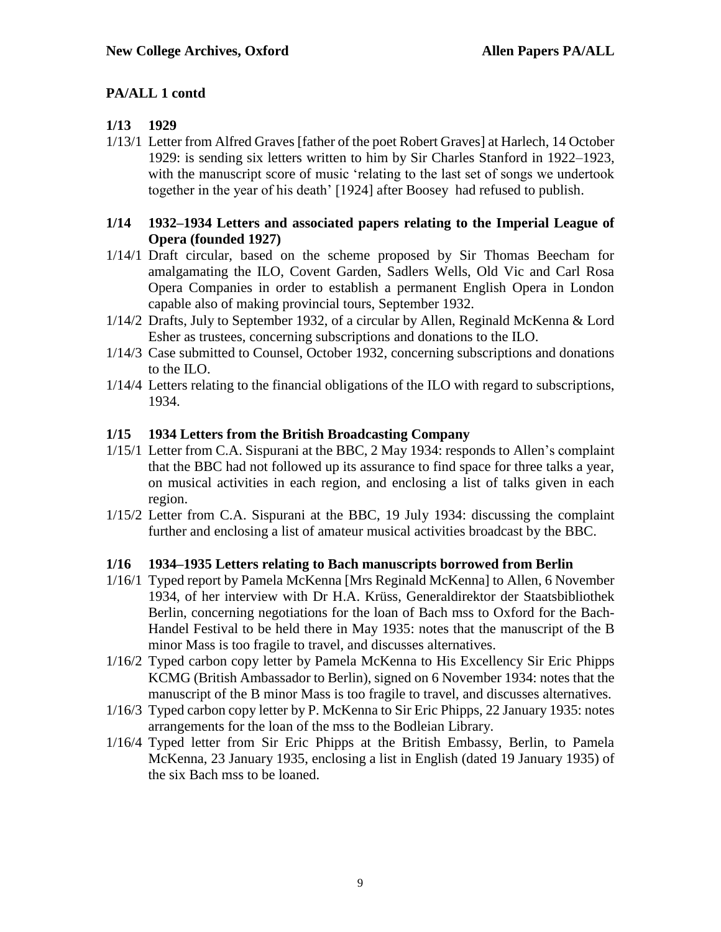#### **1/13 1929**

1/13/1 Letter from Alfred Graves [father of the poet Robert Graves] at Harlech, 14 October 1929: is sending six letters written to him by Sir Charles Stanford in 1922–1923, with the manuscript score of music 'relating to the last set of songs we undertook together in the year of his death' [1924] after Boosey had refused to publish.

#### **1/14 1932–1934 Letters and associated papers relating to the Imperial League of Opera (founded 1927)**

- 1/14/1 Draft circular, based on the scheme proposed by Sir Thomas Beecham for amalgamating the ILO, Covent Garden, Sadlers Wells, Old Vic and Carl Rosa Opera Companies in order to establish a permanent English Opera in London capable also of making provincial tours, September 1932.
- 1/14/2 Drafts, July to September 1932, of a circular by Allen, Reginald McKenna & Lord Esher as trustees, concerning subscriptions and donations to the ILO.
- 1/14/3 Case submitted to Counsel, October 1932, concerning subscriptions and donations to the ILO.
- 1/14/4 Letters relating to the financial obligations of the ILO with regard to subscriptions, 1934.

#### **1/15 1934 Letters from the British Broadcasting Company**

- 1/15/1 Letter from C.A. Sispurani at the BBC, 2 May 1934: responds to Allen's complaint that the BBC had not followed up its assurance to find space for three talks a year, on musical activities in each region, and enclosing a list of talks given in each region.
- 1/15/2 Letter from C.A. Sispurani at the BBC, 19 July 1934: discussing the complaint further and enclosing a list of amateur musical activities broadcast by the BBC.

#### **1/16 1934–1935 Letters relating to Bach manuscripts borrowed from Berlin**

- 1/16/1 Typed report by Pamela McKenna [Mrs Reginald McKenna] to Allen, 6 November 1934, of her interview with Dr H.A. Krüss, Generaldirektor der Staatsbibliothek Berlin, concerning negotiations for the loan of Bach mss to Oxford for the Bach-Handel Festival to be held there in May 1935: notes that the manuscript of the B minor Mass is too fragile to travel, and discusses alternatives.
- 1/16/2 Typed carbon copy letter by Pamela McKenna to His Excellency Sir Eric Phipps KCMG (British Ambassador to Berlin), signed on 6 November 1934: notes that the manuscript of the B minor Mass is too fragile to travel, and discusses alternatives.
- 1/16/3 Typed carbon copy letter by P. McKenna to Sir Eric Phipps, 22 January 1935: notes arrangements for the loan of the mss to the Bodleian Library.
- 1/16/4 Typed letter from Sir Eric Phipps at the British Embassy, Berlin, to Pamela McKenna, 23 January 1935, enclosing a list in English (dated 19 January 1935) of the six Bach mss to be loaned.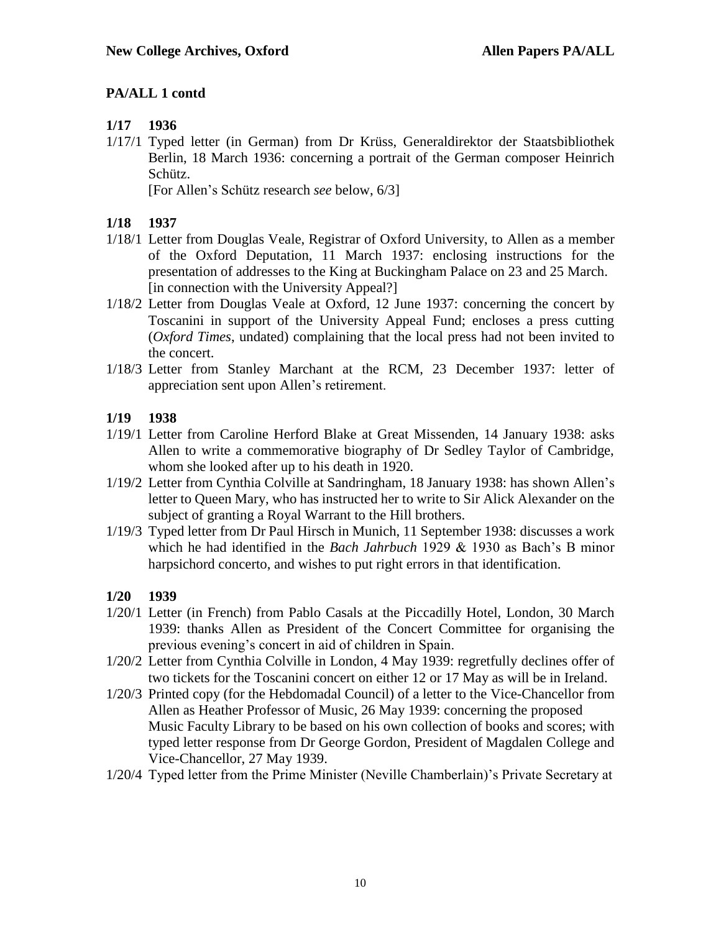### **1/17 1936**

1/17/1 Typed letter (in German) from Dr Krüss, Generaldirektor der Staatsbibliothek Berlin, 18 March 1936: concerning a portrait of the German composer Heinrich Schütz.

[For Allen's Schütz research *see* below, 6/3]

#### **1/18 1937**

- 1/18/1 Letter from Douglas Veale, Registrar of Oxford University, to Allen as a member of the Oxford Deputation, 11 March 1937: enclosing instructions for the presentation of addresses to the King at Buckingham Palace on 23 and 25 March. [in connection with the University Appeal?]
- 1/18/2 Letter from Douglas Veale at Oxford, 12 June 1937: concerning the concert by Toscanini in support of the University Appeal Fund; encloses a press cutting (*Oxford Times*, undated) complaining that the local press had not been invited to the concert.
- 1/18/3 Letter from Stanley Marchant at the RCM, 23 December 1937: letter of appreciation sent upon Allen's retirement.

#### **1/19 1938**

- 1/19/1 Letter from Caroline Herford Blake at Great Missenden, 14 January 1938: asks Allen to write a commemorative biography of Dr Sedley Taylor of Cambridge, whom she looked after up to his death in 1920.
- 1/19/2 Letter from Cynthia Colville at Sandringham, 18 January 1938: has shown Allen's letter to Queen Mary, who has instructed her to write to Sir Alick Alexander on the subject of granting a Royal Warrant to the Hill brothers.
- 1/19/3 Typed letter from Dr Paul Hirsch in Munich, 11 September 1938: discusses a work which he had identified in the *Bach Jahrbuch* 1929 & 1930 as Bach's B minor harpsichord concerto, and wishes to put right errors in that identification.

#### **1/20 1939**

- 1/20/1 Letter (in French) from Pablo Casals at the Piccadilly Hotel, London, 30 March 1939: thanks Allen as President of the Concert Committee for organising the previous evening's concert in aid of children in Spain.
- 1/20/2 Letter from Cynthia Colville in London, 4 May 1939: regretfully declines offer of two tickets for the Toscanini concert on either 12 or 17 May as will be in Ireland.
- 1/20/3 Printed copy (for the Hebdomadal Council) of a letter to the Vice-Chancellor from Allen as Heather Professor of Music, 26 May 1939: concerning the proposed Music Faculty Library to be based on his own collection of books and scores; with typed letter response from Dr George Gordon, President of Magdalen College and Vice-Chancellor, 27 May 1939.
- 1/20/4 Typed letter from the Prime Minister (Neville Chamberlain)'s Private Secretary at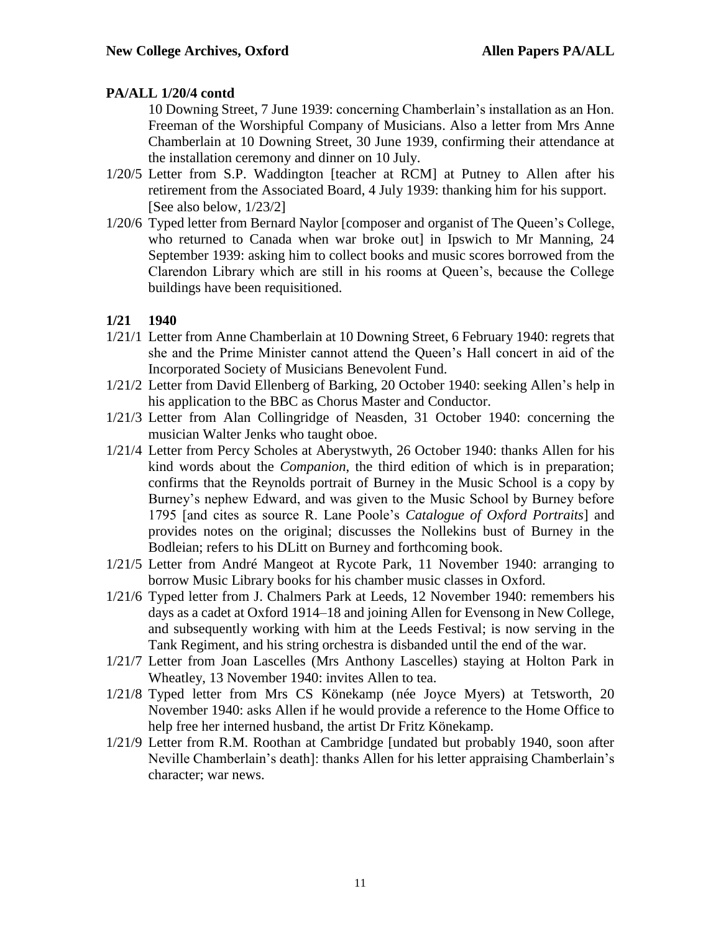#### **PA/ALL 1/20/4 contd**

10 Downing Street, 7 June 1939: concerning Chamberlain's installation as an Hon. Freeman of the Worshipful Company of Musicians. Also a letter from Mrs Anne Chamberlain at 10 Downing Street, 30 June 1939, confirming their attendance at the installation ceremony and dinner on 10 July.

- 1/20/5 Letter from S.P. Waddington [teacher at RCM] at Putney to Allen after his retirement from the Associated Board, 4 July 1939: thanking him for his support. [See also below, 1/23/2]
- 1/20/6 Typed letter from Bernard Naylor [composer and organist of The Queen's College, who returned to Canada when war broke out] in Ipswich to Mr Manning, 24 September 1939: asking him to collect books and music scores borrowed from the Clarendon Library which are still in his rooms at Queen's, because the College buildings have been requisitioned.

#### **1/21 1940**

- 1/21/1 Letter from Anne Chamberlain at 10 Downing Street, 6 February 1940: regrets that she and the Prime Minister cannot attend the Queen's Hall concert in aid of the Incorporated Society of Musicians Benevolent Fund.
- 1/21/2 Letter from David Ellenberg of Barking, 20 October 1940: seeking Allen's help in his application to the BBC as Chorus Master and Conductor.
- 1/21/3 Letter from Alan Collingridge of Neasden, 31 October 1940: concerning the musician Walter Jenks who taught oboe.
- 1/21/4 Letter from Percy Scholes at Aberystwyth, 26 October 1940: thanks Allen for his kind words about the *Companion*, the third edition of which is in preparation; confirms that the Reynolds portrait of Burney in the Music School is a copy by Burney's nephew Edward, and was given to the Music School by Burney before 1795 [and cites as source R. Lane Poole's *Catalogue of Oxford Portraits*] and provides notes on the original; discusses the Nollekins bust of Burney in the Bodleian; refers to his DLitt on Burney and forthcoming book.
- 1/21/5 Letter from André Mangeot at Rycote Park, 11 November 1940: arranging to borrow Music Library books for his chamber music classes in Oxford.
- 1/21/6 Typed letter from J. Chalmers Park at Leeds, 12 November 1940: remembers his days as a cadet at Oxford 1914–18 and joining Allen for Evensong in New College, and subsequently working with him at the Leeds Festival; is now serving in the Tank Regiment, and his string orchestra is disbanded until the end of the war.
- 1/21/7 Letter from Joan Lascelles (Mrs Anthony Lascelles) staying at Holton Park in Wheatley, 13 November 1940: invites Allen to tea.
- 1/21/8 Typed letter from Mrs CS Könekamp (née Joyce Myers) at Tetsworth, 20 November 1940: asks Allen if he would provide a reference to the Home Office to help free her interned husband, the artist Dr Fritz Könekamp.
- 1/21/9 Letter from R.M. Roothan at Cambridge [undated but probably 1940, soon after Neville Chamberlain's death]: thanks Allen for his letter appraising Chamberlain's character; war news.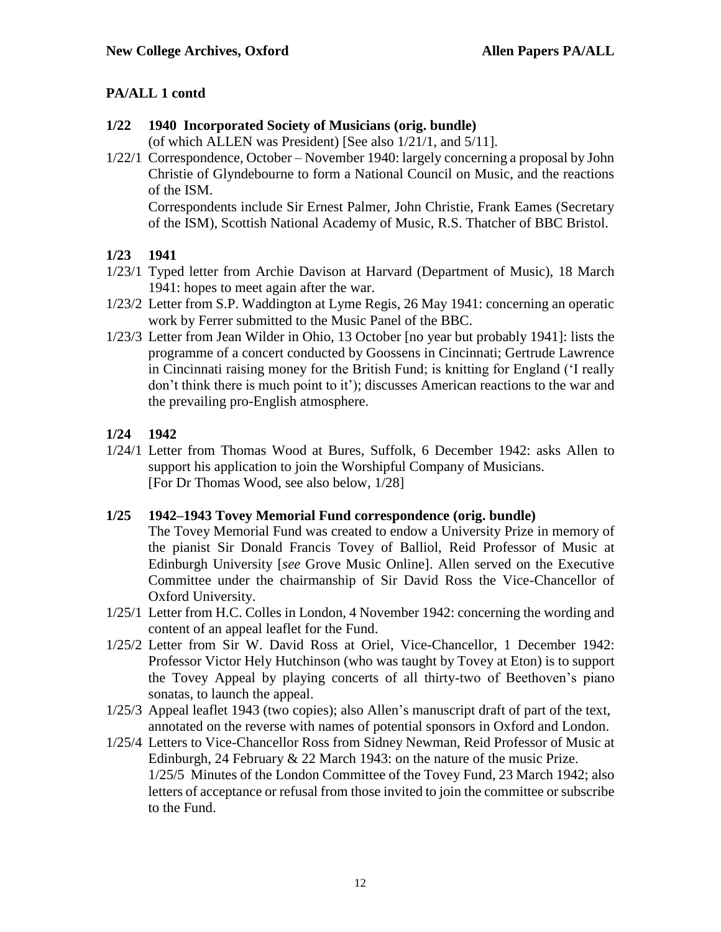#### **1/22 1940 Incorporated Society of Musicians (orig. bundle)**

(of which ALLEN was President) [See also 1/21/1, and 5/11].

1/22/1 Correspondence, October – November 1940: largely concerning a proposal by John Christie of Glyndebourne to form a National Council on Music, and the reactions of the ISM.

Correspondents include Sir Ernest Palmer, John Christie, Frank Eames (Secretary of the ISM), Scottish National Academy of Music, R.S. Thatcher of BBC Bristol.

## **1/23 1941**

- 1/23/1 Typed letter from Archie Davison at Harvard (Department of Music), 18 March 1941: hopes to meet again after the war.
- 1/23/2 Letter from S.P. Waddington at Lyme Regis, 26 May 1941: concerning an operatic work by Ferrer submitted to the Music Panel of the BBC.
- 1/23/3 Letter from Jean Wilder in Ohio, 13 October [no year but probably 1941]: lists the programme of a concert conducted by Goossens in Cincinnati; Gertrude Lawrence in Cincinnati raising money for the British Fund; is knitting for England ('I really don't think there is much point to it'); discusses American reactions to the war and the prevailing pro-English atmosphere.

#### **1/24 1942**

1/24/1 Letter from Thomas Wood at Bures, Suffolk, 6 December 1942: asks Allen to support his application to join the Worshipful Company of Musicians. [For Dr Thomas Wood, see also below, 1/28]

## **1/25 1942–1943 Tovey Memorial Fund correspondence (orig. bundle)**

The Tovey Memorial Fund was created to endow a University Prize in memory of the pianist Sir Donald Francis Tovey of Balliol, Reid Professor of Music at Edinburgh University [*see* Grove Music Online]. Allen served on the Executive Committee under the chairmanship of Sir David Ross the Vice-Chancellor of Oxford University.

- 1/25/1 Letter from H.C. Colles in London, 4 November 1942: concerning the wording and content of an appeal leaflet for the Fund.
- 1/25/2 Letter from Sir W. David Ross at Oriel, Vice-Chancellor, 1 December 1942: Professor Victor Hely Hutchinson (who was taught by Tovey at Eton) is to support the Tovey Appeal by playing concerts of all thirty-two of Beethoven's piano sonatas, to launch the appeal.
- 1/25/3 Appeal leaflet 1943 (two copies); also Allen's manuscript draft of part of the text, annotated on the reverse with names of potential sponsors in Oxford and London.
- 1/25/4 Letters to Vice-Chancellor Ross from Sidney Newman, Reid Professor of Music at Edinburgh, 24 February & 22 March 1943: on the nature of the music Prize. 1/25/5 Minutes of the London Committee of the Tovey Fund, 23 March 1942; also letters of acceptance or refusal from those invited to join the committee or subscribe to the Fund.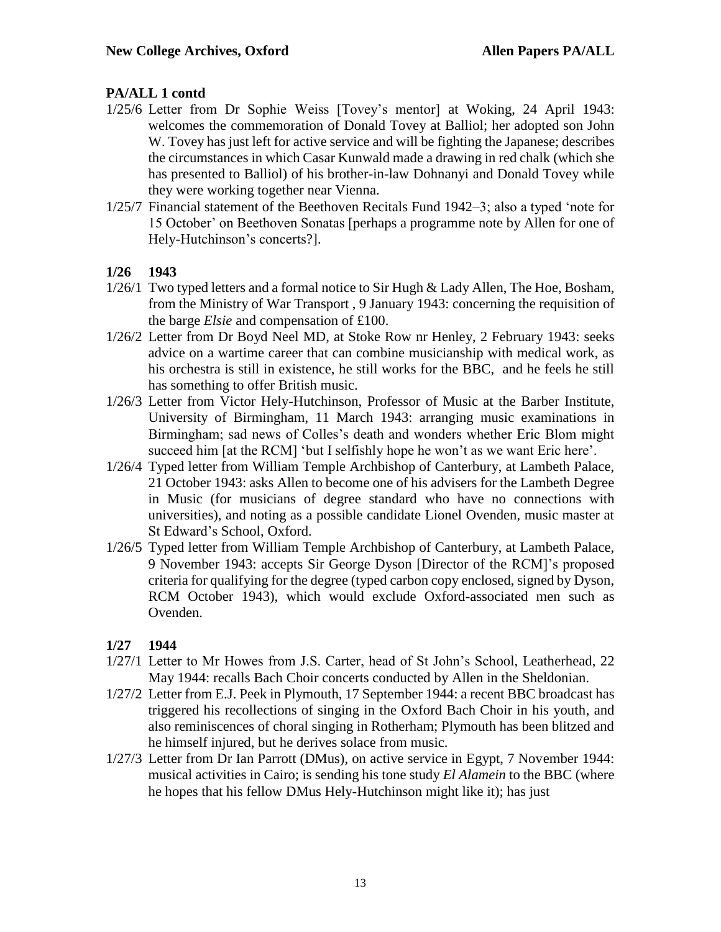- 1/25/6 Letter from Dr Sophie Weiss [Tovey's mentor] at Woking, 24 April 1943: welcomes the commemoration of Donald Tovey at Balliol; her adopted son John W. Tovey has just left for active service and will be fighting the Japanese; describes the circumstances in which Casar Kunwald made a drawing in red chalk (which she has presented to Balliol) of his brother-in-law Dohnanyi and Donald Tovey while they were working together near Vienna.
- 1/25/7 Financial statement of the Beethoven Recitals Fund 1942–3; also a typed 'note for 15 October' on Beethoven Sonatas [perhaps a programme note by Allen for one of Hely-Hutchinson's concerts?].

#### **1/26 1943**

- $1/26/1$  Two typed letters and a formal notice to Sir Hugh & Lady Allen, The Hoe, Bosham, from the Ministry of War Transport , 9 January 1943: concerning the requisition of the barge *Elsie* and compensation of £100.
- 1/26/2 Letter from Dr Boyd Neel MD, at Stoke Row nr Henley, 2 February 1943: seeks advice on a wartime career that can combine musicianship with medical work, as his orchestra is still in existence, he still works for the BBC, and he feels he still has something to offer British music.
- 1/26/3 Letter from Victor Hely-Hutchinson, Professor of Music at the Barber Institute, University of Birmingham, 11 March 1943: arranging music examinations in Birmingham; sad news of Colles's death and wonders whether Eric Blom might succeed him [at the RCM] 'but I selfishly hope he won't as we want Eric here'.
- 1/26/4 Typed letter from William Temple Archbishop of Canterbury, at Lambeth Palace, 21 October 1943: asks Allen to become one of his advisers for the Lambeth Degree in Music (for musicians of degree standard who have no connections with universities), and noting as a possible candidate Lionel Ovenden, music master at St Edward's School, Oxford.
- 1/26/5 Typed letter from William Temple Archbishop of Canterbury, at Lambeth Palace, 9 November 1943: accepts Sir George Dyson [Director of the RCM]'s proposed criteria for qualifying for the degree (typed carbon copy enclosed, signed by Dyson, RCM October 1943), which would exclude Oxford-associated men such as Ovenden.

#### **1/27 1944**

- 1/27/1 Letter to Mr Howes from J.S. Carter, head of St John's School, Leatherhead, 22 May 1944: recalls Bach Choir concerts conducted by Allen in the Sheldonian.
- 1/27/2 Letter from E.J. Peek in Plymouth, 17 September 1944: a recent BBC broadcast has triggered his recollections of singing in the Oxford Bach Choir in his youth, and also reminiscences of choral singing in Rotherham; Plymouth has been blitzed and he himself injured, but he derives solace from music.
- 1/27/3 Letter from Dr Ian Parrott (DMus), on active service in Egypt, 7 November 1944: musical activities in Cairo; is sending his tone study *El Alamein* to the BBC (where he hopes that his fellow DMus Hely-Hutchinson might like it); has just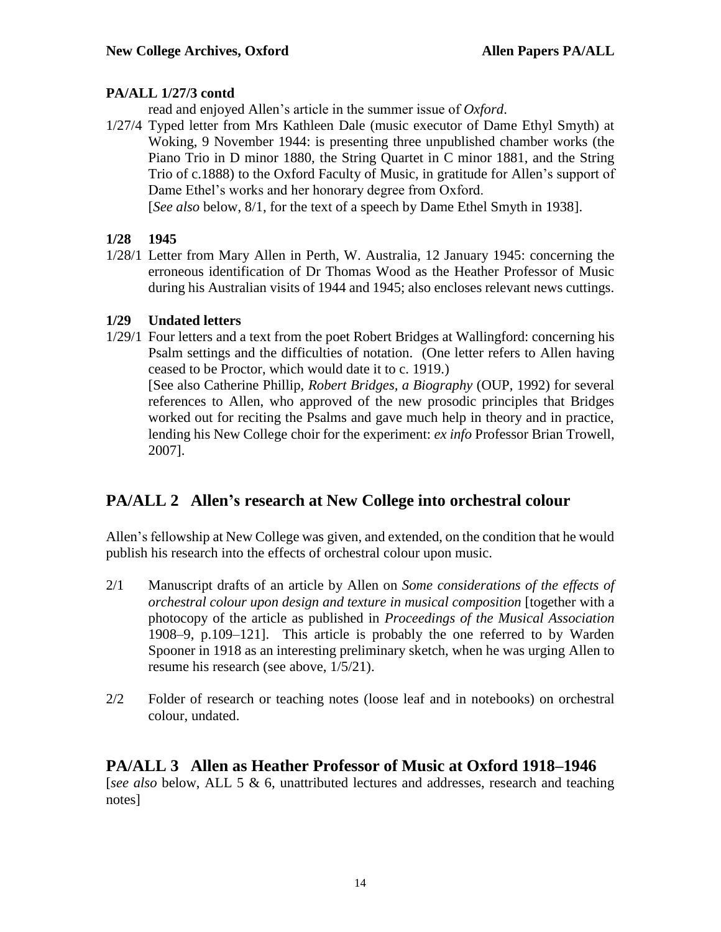## **PA/ALL 1/27/3 contd**

read and enjoyed Allen's article in the summer issue of *Oxford*.

1/27/4 Typed letter from Mrs Kathleen Dale (music executor of Dame Ethyl Smyth) at Woking, 9 November 1944: is presenting three unpublished chamber works (the Piano Trio in D minor 1880, the String Quartet in C minor 1881, and the String Trio of c.1888) to the Oxford Faculty of Music, in gratitude for Allen's support of Dame Ethel's works and her honorary degree from Oxford.

[*See also* below, 8/1, for the text of a speech by Dame Ethel Smyth in 1938].

### **1/28 1945**

1/28/1 Letter from Mary Allen in Perth, W. Australia, 12 January 1945: concerning the erroneous identification of Dr Thomas Wood as the Heather Professor of Music during his Australian visits of 1944 and 1945; also encloses relevant news cuttings.

## **1/29 Undated letters**

1/29/1 Four letters and a text from the poet Robert Bridges at Wallingford: concerning his Psalm settings and the difficulties of notation. (One letter refers to Allen having ceased to be Proctor, which would date it to c. 1919.) [See also Catherine Phillip, *Robert Bridges, a Biography* (OUP, 1992) for several references to Allen, who approved of the new prosodic principles that Bridges worked out for reciting the Psalms and gave much help in theory and in practice, lending his New College choir for the experiment: *ex info* Professor Brian Trowell, 2007].

## **PA/ALL 2 Allen's research at New College into orchestral colour**

Allen's fellowship at New College was given, and extended, on the condition that he would publish his research into the effects of orchestral colour upon music.

- 2/1 Manuscript drafts of an article by Allen on *Some considerations of the effects of orchestral colour upon design and texture in musical composition* [together with a photocopy of the article as published in *Proceedings of the Musical Association* 1908–9, p.109–121]. This article is probably the one referred to by Warden Spooner in 1918 as an interesting preliminary sketch, when he was urging Allen to resume his research (see above, 1/5/21).
- 2/2 Folder of research or teaching notes (loose leaf and in notebooks) on orchestral colour, undated.

## **PA/ALL 3 Allen as Heather Professor of Music at Oxford 1918–1946**

[*see also* below, ALL 5 & 6, unattributed lectures and addresses, research and teaching notes]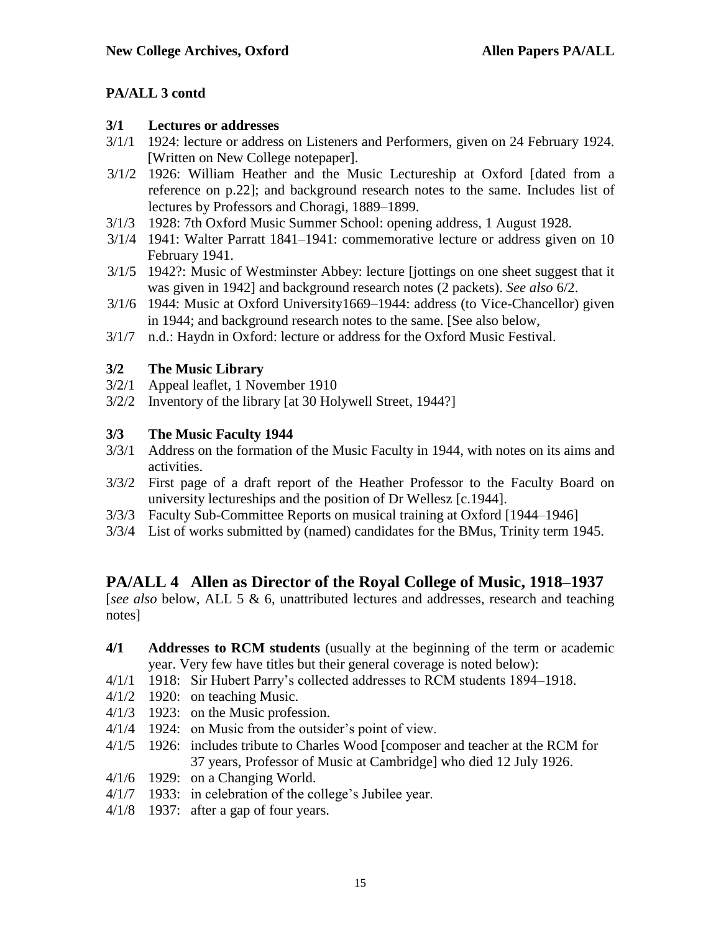#### **3/1 Lectures or addresses**

- 3/1/1 1924: lecture or address on Listeners and Performers, given on 24 February 1924. [Written on New College notepaper].
- 3/1/2 1926: William Heather and the Music Lectureship at Oxford [dated from a reference on p.22]; and background research notes to the same. Includes list of lectures by Professors and Choragi, 1889–1899.
- 3/1/3 1928: 7th Oxford Music Summer School: opening address, 1 August 1928.
- 3/1/4 1941: Walter Parratt 1841–1941: commemorative lecture or address given on 10 February 1941.
- 3/1/5 1942?: Music of Westminster Abbey: lecture [jottings on one sheet suggest that it was given in 1942] and background research notes (2 packets). *See also* 6/2.
- 3/1/6 1944: Music at Oxford University1669–1944: address (to Vice-Chancellor) given in 1944; and background research notes to the same. [See also below,
- 3/1/7 n.d.: Haydn in Oxford: lecture or address for the Oxford Music Festival.

## **3/2 The Music Library**

- 3/2/1 Appeal leaflet, 1 November 1910
- 3/2/2 Inventory of the library [at 30 Holywell Street, 1944?]

## **3/3 The Music Faculty 1944**

- 3/3/1 Address on the formation of the Music Faculty in 1944, with notes on its aims and activities.
- 3/3/2 First page of a draft report of the Heather Professor to the Faculty Board on university lectureships and the position of Dr Wellesz [c.1944].
- 3/3/3 Faculty Sub-Committee Reports on musical training at Oxford [1944–1946]
- 3/3/4 List of works submitted by (named) candidates for the BMus, Trinity term 1945.

## **PA/ALL 4 Allen as Director of the Royal College of Music, 1918–1937**

[*see also* below, ALL 5 & 6, unattributed lectures and addresses, research and teaching notes]

#### **4/1 Addresses to RCM students** (usually at the beginning of the term or academic year. Very few have titles but their general coverage is noted below):

- 4/1/1 1918: Sir Hubert Parry's collected addresses to RCM students 1894–1918.
- 4/1/2 1920: on teaching Music.
- 4/1/3 1923: on the Music profession.
- 4/1/4 1924: on Music from the outsider's point of view.
- 4/1/5 1926: includes tribute to Charles Wood [composer and teacher at the RCM for 37 years, Professor of Music at Cambridge] who died 12 July 1926.
- 4/1/6 1929: on a Changing World.
- 4/1/7 1933: in celebration of the college's Jubilee year.
- 4/1/8 1937: after a gap of four years.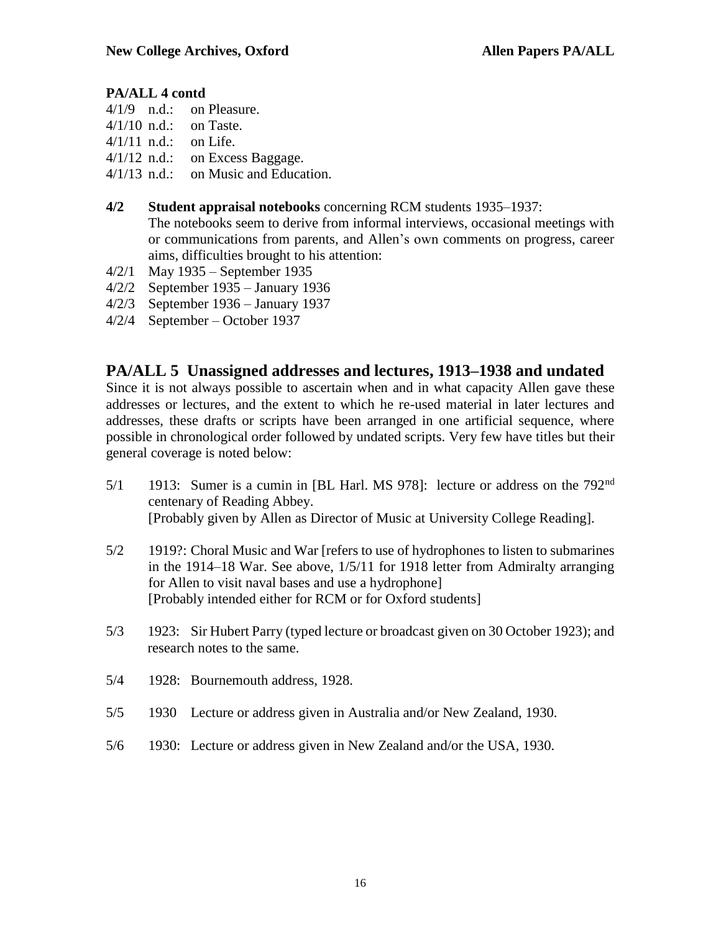- 4/1/9 n.d.: on Pleasure.
- 4/1/10 n.d.: on Taste.
- 4/1/11 n.d.: on Life.
- 4/1/12 n.d.: on Excess Baggage.
- 4/1/13 n.d.: on Music and Education.

#### **4/2 Student appraisal notebooks** concerning RCM students 1935–1937:

The notebooks seem to derive from informal interviews, occasional meetings with or communications from parents, and Allen's own comments on progress, career aims, difficulties brought to his attention:

- 4/2/1 May 1935 September 1935
- 4/2/2 September 1935 January 1936
- 4/2/3 September 1936 January 1937
- 4/2/4 September October 1937

## **PA/ALL 5 Unassigned addresses and lectures, 1913–1938 and undated**

Since it is not always possible to ascertain when and in what capacity Allen gave these addresses or lectures, and the extent to which he re-used material in later lectures and addresses, these drafts or scripts have been arranged in one artificial sequence, where possible in chronological order followed by undated scripts. Very few have titles but their general coverage is noted below:

- 5/1 1913: Sumer is a cumin in [BL Harl. MS 978]: lecture or address on the 792<sup>nd</sup> centenary of Reading Abbey. [Probably given by Allen as Director of Music at University College Reading].
- 5/2 1919?: Choral Music and War [refers to use of hydrophones to listen to submarines in the 1914–18 War. See above, 1/5/11 for 1918 letter from Admiralty arranging for Allen to visit naval bases and use a hydrophone] [Probably intended either for RCM or for Oxford students]
- 5/3 1923: Sir Hubert Parry (typed lecture or broadcast given on 30 October 1923); and research notes to the same.
- 5/4 1928: Bournemouth address, 1928.
- 5/5 1930 Lecture or address given in Australia and/or New Zealand, 1930.
- 5/6 1930: Lecture or address given in New Zealand and/or the USA, 1930.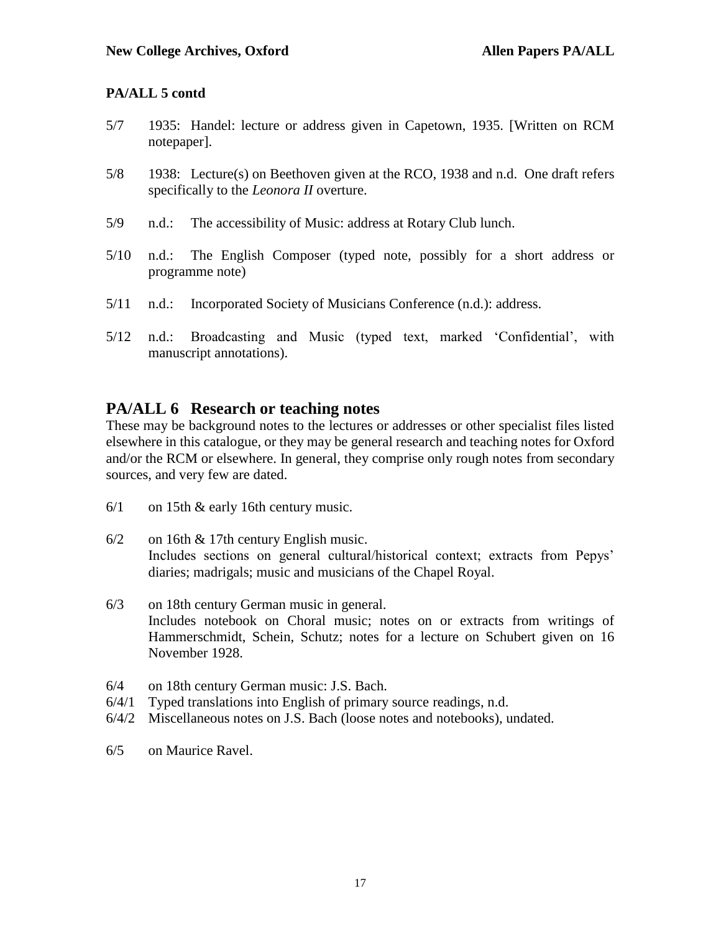- 5/7 1935: Handel: lecture or address given in Capetown, 1935. [Written on RCM notepaper].
- 5/8 1938: Lecture(s) on Beethoven given at the RCO, 1938 and n.d. One draft refers specifically to the *Leonora II* overture.
- 5/9 n.d.: The accessibility of Music: address at Rotary Club lunch.
- 5/10 n.d.: The English Composer (typed note, possibly for a short address or programme note)
- 5/11 n.d.: Incorporated Society of Musicians Conference (n.d.): address.
- 5/12 n.d.: Broadcasting and Music (typed text, marked 'Confidential', with manuscript annotations).

## **PA/ALL 6 Research or teaching notes**

These may be background notes to the lectures or addresses or other specialist files listed elsewhere in this catalogue, or they may be general research and teaching notes for Oxford and/or the RCM or elsewhere. In general, they comprise only rough notes from secondary sources, and very few are dated.

- 6/1 on 15th & early 16th century music.
- 6/2 on 16th & 17th century English music. Includes sections on general cultural/historical context; extracts from Pepys' diaries; madrigals; music and musicians of the Chapel Royal.
- 6/3 on 18th century German music in general. Includes notebook on Choral music; notes on or extracts from writings of Hammerschmidt, Schein, Schutz; notes for a lecture on Schubert given on 16 November 1928.
- 6/4 on 18th century German music: J.S. Bach.
- 6/4/1 Typed translations into English of primary source readings, n.d.
- 6/4/2 Miscellaneous notes on J.S. Bach (loose notes and notebooks), undated.
- 6/5 on Maurice Ravel.